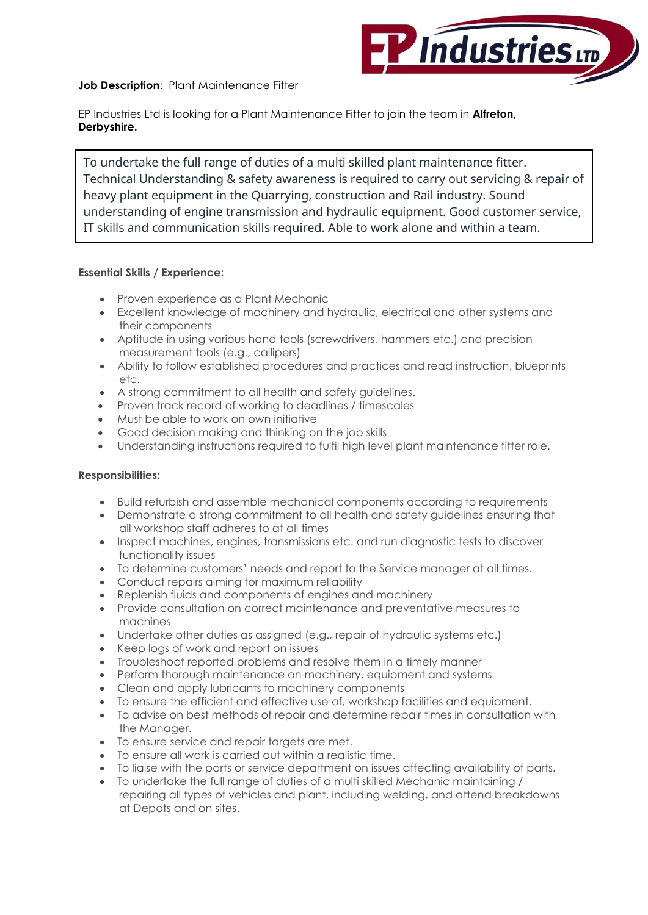

**Job Description**:Plant Maintenance Fitter

EP Industries Ltd is looking for a Plant Maintenance Fitter to join the team in **Alfreton, Derbyshire.**

To undertake the full range of duties of a multi skilled plant maintenance fitter. Technical Understanding & safety awareness is required to carry out servicing & repair of heavy plant equipment in the Quarrying, construction and Rail industry. Sound understanding of engine transmission and hydraulic equipment. Good customer service, IT skills and communication skills required. Able to work alone and within a team.

## **Essential Skills / Experience:**

- Proven experience as a Plant Mechanic
- Excellent knowledge of machinery and hydraulic, electrical and other systems and their components
- Aptitude in using various hand tools (screwdrivers, hammers etc.) and precision measurement tools (e.g., callipers)
- Ability to follow established procedures and practices and read instruction, blueprints etc.
- A strong commitment to all health and safety guidelines.
- Proven track record of working to deadlines / timescales
- Must be able to work on own initiative
- Good decision making and thinking on the job skills
- Understanding instructions required to fulfil high level plant maintenance fitter role.

## **Responsibilities:**

- Build refurbish and assemble mechanical components according to requirements
- Demonstrate a strong commitment to all health and safety guidelines ensuring that all workshop staff adheres to at all times
- Inspect machines, engines, transmissions etc. and run diagnostic tests to discover functionality issues
- To determine customers' needs and report to the Service manager at all times.
- Conduct repairs aiming for maximum reliability
- Replenish fluids and components of engines and machinery
- Provide consultation on correct maintenance and preventative measures to machines
- Undertake other duties as assigned (e.g., repair of hydraulic systems etc.)
- Keep logs of work and report on issues
- Troubleshoot reported problems and resolve them in a timely manner
- Perform thorough maintenance on machinery, equipment and systems
- Clean and apply lubricants to machinery components
- To ensure the efficient and effective use of, workshop facilities and equipment.
- To advise on best methods of repair and determine repair times in consultation with the Manager.
- To ensure service and repair targets are met.
- To ensure all work is carried out within a realistic time.
- To liaise with the parts or service department on issues affecting availability of parts.
- To undertake the full range of duties of a multi skilled Mechanic maintaining / repairing all types of vehicles and plant, including welding, and attend breakdowns at Depots and on sites.